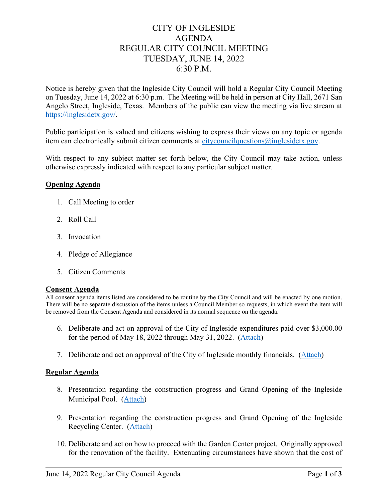# CITY OF INGLESIDE AGENDA REGULAR CITY COUNCIL MEETING TUESDAY, JUNE 14, 2022 6:30 P.M.

Notice is hereby given that the Ingleside City Council will hold a Regular City Council Meeting on Tuesday, June 14, 2022 at 6:30 p.m. The Meeting will be held in person at City Hall, 2671 San Angelo Street, Ingleside, Texas. Members of the public can view the meeting via live stream at [https://inglesidetx.gov/.](https://inglesidetx.gov/)

Public participation is valued and citizens wishing to express their views on any topic or agenda item can electronically submit citizen comments at [citycouncilquestions@inglesidetx.gov.](mailto:citycouncilquestions@inglesidetx.gov)

With respect to any subject matter set forth below, the City Council may take action, unless otherwise expressly indicated with respect to any particular subject matter.

### **Opening Agenda**

- 1. Call Meeting to order
- 2. Roll Call
- 3. Invocation
- 4. Pledge of Allegiance
- 5. Citizen Comments

#### **Consent Agenda**

All consent agenda items listed are considered to be routine by the City Council and will be enacted by one motion. There will be no separate discussion of the items unless a Council Member so requests, in which event the item will be removed from the Consent Agenda and considered in its normal sequence on the agenda.

- 6. Deliberate and act on approval of the City of Ingleside expenditures paid over \$3,000.00 for the period of May 18, 2022 through May 31, 2022. [\(Attach\)](https://www.inglesidetx.gov/DocumentCenter/View/1506/N-6-PDF)
- 7. Deliberate and act on approval of the City of Ingleside monthly financials. [\(Attach\)](https://www.inglesidetx.gov/DocumentCenter/View/1507/N-7-PDF)

#### **Regular Agenda**

- 8. Presentation regarding the construction progress and Grand Opening of the Ingleside Municipal Pool. [\(Attach\)](https://www.inglesidetx.gov/DocumentCenter/View/1508/N-8-PDF)
- 9. Presentation regarding the construction progress and Grand Opening of the Ingleside Recycling Center. [\(Attach\)](https://www.inglesidetx.gov/DocumentCenter/View/1509/N-9-PDF)
- 10. Deliberate and act on how to proceed with the Garden Center project. Originally approved for the renovation of the facility. Extenuating circumstances have shown that the cost of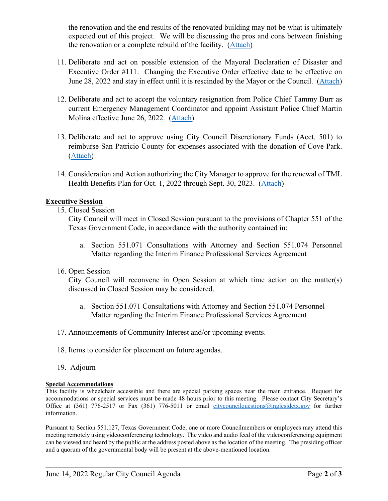the renovation and the end results of the renovated building may not be what is ultimately expected out of this project. We will be discussing the pros and cons between finishing the renovation or a complete rebuild of the facility. [\(Attach\)](https://www.inglesidetx.gov/DocumentCenter/View/1510/N-10-PDF)

- 11. Deliberate and act on possible extension of the Mayoral Declaration of Disaster and Executive Order #111. Changing the Executive Order effective date to be effective on June 28, 2022 and stay in effect until it is rescinded by the Mayor or the Council. [\(Attach\)](https://www.inglesidetx.gov/DocumentCenter/View/1511/N-11-PDF)
- 12. Deliberate and act to accept the voluntary resignation from Police Chief Tammy Burr as current Emergency Management Coordinator and appoint Assistant Police Chief Martin Molina effective June 26, 2022. [\(Attach\)](https://www.inglesidetx.gov/DocumentCenter/View/1512/N-12-PDF)
- 13. Deliberate and act to approve using City Council Discretionary Funds (Acct. 501) to reimburse San Patricio County for expenses associated with the donation of Cove Park. [\(Attach\)](https://www.inglesidetx.gov/DocumentCenter/View/1513/N-13-PDF)
- 14. Consideration and Action authorizing the City Manager to approve for the renewal of TML Health Benefits Plan for Oct. 1, 2022 through Sept. 30, 2023. [\(Attach\)](https://www.inglesidetx.gov/DocumentCenter/View/1514/N-14-PDF)

### **Executive Session**

15. Closed Session

City Council will meet in Closed Session pursuant to the provisions of Chapter 551 of the Texas Government Code, in accordance with the authority contained in:

- a. Section 551.071 Consultations with Attorney and Section 551.074 Personnel Matter regarding the Interim Finance Professional Services Agreement
- 16. Open Session

City Council will reconvene in Open Session at which time action on the matter(s) discussed in Closed Session may be considered.

- a. Section 551.071 Consultations with Attorney and Section 551.074 Personnel Matter regarding the Interim Finance Professional Services Agreement
- 17. Announcements of Community Interest and/or upcoming events.
- 18. Items to consider for placement on future agendas.
- 19. Adjourn

#### **Special Accommodations**

This facility is wheelchair accessible and there are special parking spaces near the main entrance. Request for accommodations or special services must be made 48 hours prior to this meeting. Please contact City Secretary's Office at (361) 776-2517 or Fax (361) 776-5011 or email [citycouncilquestions@inglesidetx.gov](mailto:citycouncilquestions@inglesidetx.gov) for further information.

Pursuant to Section 551.127, Texas Government Code, one or more Councilmembers or employees may attend this meeting remotely using videoconferencing technology. The video and audio feed of the videoconferencing equipment can be viewed and heard by the public at the address posted above as the location of the meeting. The presiding officer and a quorum of the governmental body will be present at the above-mentioned location.